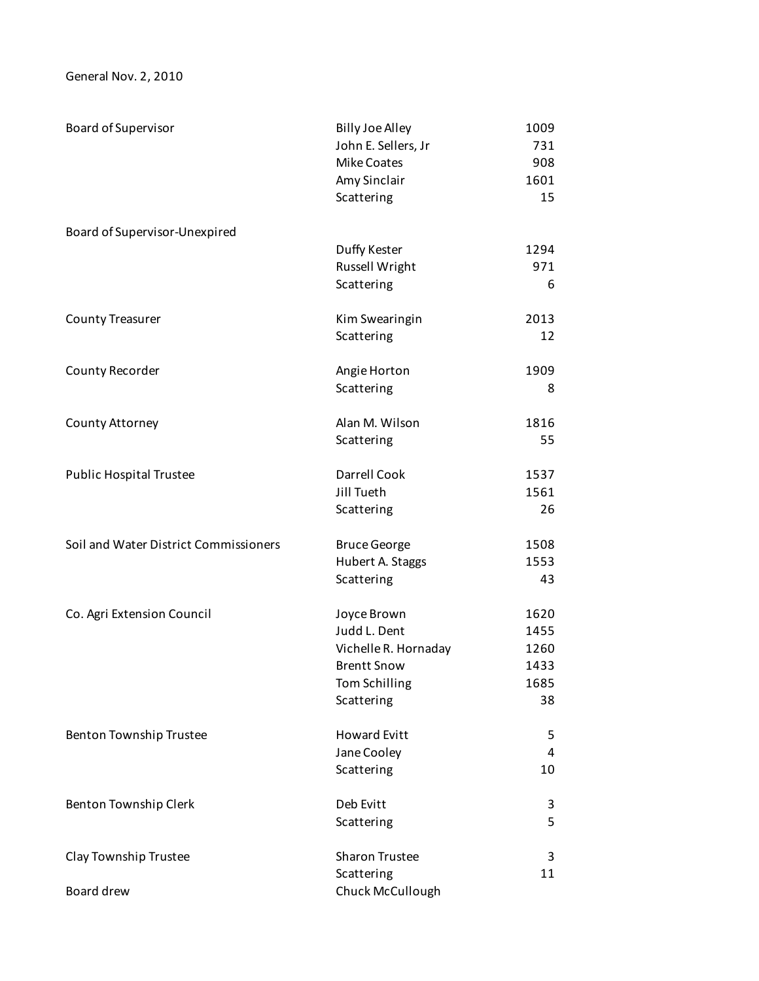General Nov. 2, 2010

| Board of Supervisor                   | <b>Billy Joe Alley</b><br>John E. Sellers, Jr<br><b>Mike Coates</b><br>Amy Sinclair | 1009<br>731<br>908<br>1601 |
|---------------------------------------|-------------------------------------------------------------------------------------|----------------------------|
|                                       | Scattering                                                                          | 15                         |
| Board of Supervisor-Unexpired         |                                                                                     |                            |
|                                       | Duffy Kester                                                                        | 1294                       |
|                                       | Russell Wright                                                                      | 971                        |
|                                       | Scattering                                                                          | 6                          |
| <b>County Treasurer</b>               | Kim Swearingin                                                                      | 2013                       |
|                                       | Scattering                                                                          | 12                         |
| County Recorder                       | Angie Horton                                                                        | 1909                       |
|                                       | Scattering                                                                          | 8                          |
| County Attorney                       | Alan M. Wilson                                                                      | 1816                       |
|                                       | Scattering                                                                          | 55                         |
| <b>Public Hospital Trustee</b>        | Darrell Cook                                                                        | 1537                       |
|                                       | Jill Tueth                                                                          | 1561                       |
|                                       | Scattering                                                                          | 26                         |
| Soil and Water District Commissioners | <b>Bruce George</b>                                                                 | 1508                       |
|                                       | Hubert A. Staggs                                                                    | 1553                       |
|                                       | Scattering                                                                          | 43                         |
| Co. Agri Extension Council            | Joyce Brown                                                                         | 1620                       |
|                                       | Judd L. Dent                                                                        | 1455                       |
|                                       | Vichelle R. Hornaday                                                                | 1260                       |
|                                       | <b>Brentt Snow</b>                                                                  | 1433                       |
|                                       | Tom Schilling                                                                       | 1685                       |
|                                       | Scattering                                                                          | 38                         |
| Benton Township Trustee               | <b>Howard Evitt</b>                                                                 | 5                          |
|                                       | Jane Cooley                                                                         | 4                          |
|                                       | Scattering                                                                          | 10                         |
| Benton Township Clerk                 | Deb Evitt                                                                           | 3                          |
|                                       | Scattering                                                                          | 5                          |
| Clay Township Trustee                 | <b>Sharon Trustee</b>                                                               | 3                          |
|                                       | Scattering                                                                          | 11                         |
| Board drew                            | Chuck McCullough                                                                    |                            |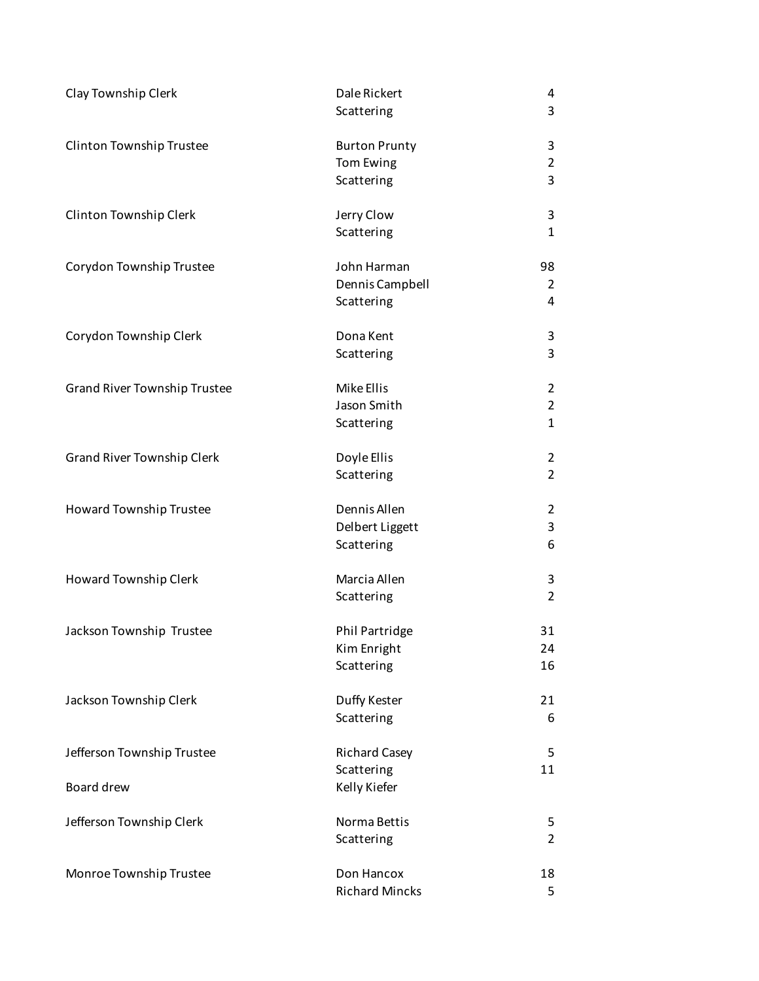| Clay Township Clerk               | Dale Rickert<br>Scattering | 4<br>3         |
|-----------------------------------|----------------------------|----------------|
|                                   |                            |                |
| Clinton Township Trustee          | <b>Burton Prunty</b>       | 3              |
|                                   | Tom Ewing                  | $\overline{2}$ |
|                                   | Scattering                 | 3              |
| Clinton Township Clerk            | Jerry Clow                 | 3              |
|                                   | Scattering                 | $\mathbf{1}$   |
| Corydon Township Trustee          | John Harman                | 98             |
|                                   | Dennis Campbell            | 2              |
|                                   | Scattering                 | 4              |
| Corydon Township Clerk            | Dona Kent                  | 3              |
|                                   | Scattering                 | 3              |
| Grand River Township Trustee      | Mike Ellis                 | $\overline{2}$ |
|                                   | Jason Smith                | $\overline{2}$ |
|                                   | Scattering                 | $\mathbf{1}$   |
| <b>Grand River Township Clerk</b> | Doyle Ellis                | 2              |
|                                   | Scattering                 | $\overline{2}$ |
| Howard Township Trustee           | Dennis Allen               | $\overline{2}$ |
|                                   | Delbert Liggett            | 3              |
|                                   | Scattering                 | 6              |
| Howard Township Clerk             | Marcia Allen               | 3              |
|                                   | Scattering                 | $\overline{2}$ |
| Jackson Township Trustee          | Phil Partridge             | 31             |
|                                   | Kim Enright                | 24             |
|                                   | Scattering                 | 16             |
| Jackson Township Clerk            | Duffy Kester               | 21             |
|                                   | Scattering                 | 6              |
| Jefferson Township Trustee        | <b>Richard Casey</b>       | 5              |
|                                   | Scattering                 | 11             |
| Board drew                        | Kelly Kiefer               |                |
| Jefferson Township Clerk          | Norma Bettis               | 5              |
|                                   | Scattering                 | $\overline{2}$ |
| Monroe Township Trustee           | Don Hancox                 | 18             |
|                                   | <b>Richard Mincks</b>      | 5              |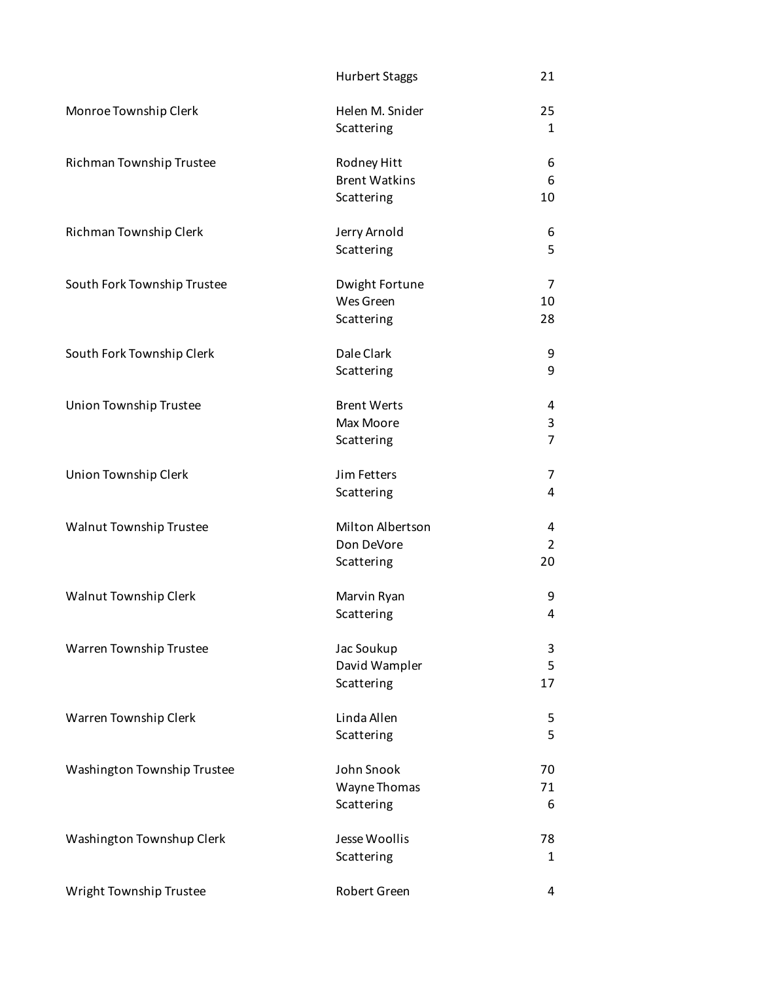|                             | <b>Hurbert Staggs</b> | 21             |
|-----------------------------|-----------------------|----------------|
| Monroe Township Clerk       | Helen M. Snider       | 25             |
|                             | Scattering            | 1              |
| Richman Township Trustee    | Rodney Hitt           | 6              |
|                             | <b>Brent Watkins</b>  | 6              |
|                             | Scattering            | 10             |
| Richman Township Clerk      | Jerry Arnold          | 6              |
|                             | Scattering            | 5              |
| South Fork Township Trustee | Dwight Fortune        | 7              |
|                             | Wes Green             | 10             |
|                             | Scattering            | 28             |
| South Fork Township Clerk   | Dale Clark            | 9              |
|                             | Scattering            | 9              |
| Union Township Trustee      | <b>Brent Werts</b>    | 4              |
|                             | Max Moore             | 3              |
|                             | Scattering            | $\overline{7}$ |
| Union Township Clerk        | Jim Fetters           | 7              |
|                             | Scattering            | 4              |
| Walnut Township Trustee     | Milton Albertson      | 4              |
|                             | Don DeVore            | $\overline{2}$ |
|                             | Scattering            | 20             |
| Walnut Township Clerk       | Marvin Ryan           | 9              |
|                             | Scattering            | 4              |
| Warren Township Trustee     | Jac Soukup            | 3              |
|                             | David Wampler         | 5              |
|                             | Scattering            | 17             |
| Warren Township Clerk       | Linda Allen           | 5              |
|                             | Scattering            | 5              |
| Washington Township Trustee | John Snook            | 70             |
|                             | Wayne Thomas          | 71             |
|                             | Scattering            | 6              |
| Washington Townshup Clerk   | Jesse Woollis         | 78             |
|                             | Scattering            | 1              |
| Wright Township Trustee     | Robert Green          | 4              |